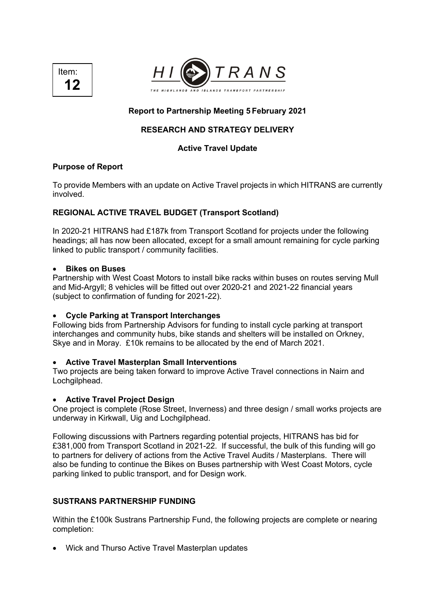



# **Report to Partnership Meeting 5 February 2021**

# **RESEARCH AND STRATEGY DELIVERY**

## **Active Travel Update**

### **Purpose of Report**

To provide Members with an update on Active Travel projects in which HITRANS are currently involved.

# **REGIONAL ACTIVE TRAVEL BUDGET (Transport Scotland)**

In 2020-21 HITRANS had £187k from Transport Scotland for projects under the following headings; all has now been allocated, except for a small amount remaining for cycle parking linked to public transport / community facilities.

### • **Bikes on Buses**

Partnership with West Coast Motors to install bike racks within buses on routes serving Mull and Mid-Argyll; 8 vehicles will be fitted out over 2020-21 and 2021-22 financial years (subject to confirmation of funding for 2021-22).

# • **Cycle Parking at Transport Interchanges**

Following bids from Partnership Advisors for funding to install cycle parking at transport interchanges and community hubs, bike stands and shelters will be installed on Orkney, Skye and in Moray. £10k remains to be allocated by the end of March 2021.

# • **Active Travel Masterplan Small Interventions**

Two projects are being taken forward to improve Active Travel connections in Nairn and Lochgilphead.

### • **Active Travel Project Design**

One project is complete (Rose Street, Inverness) and three design / small works projects are underway in Kirkwall, Uig and Lochgilphead.

Following discussions with Partners regarding potential projects, HITRANS has bid for £381,000 from Transport Scotland in 2021-22. If successful, the bulk of this funding will go to partners for delivery of actions from the Active Travel Audits / Masterplans. There will also be funding to continue the Bikes on Buses partnership with West Coast Motors, cycle parking linked to public transport, and for Design work.

# **SUSTRANS PARTNERSHIP FUNDING**

Within the £100k Sustrans Partnership Fund, the following projects are complete or nearing completion:

• Wick and Thurso Active Travel Masterplan updates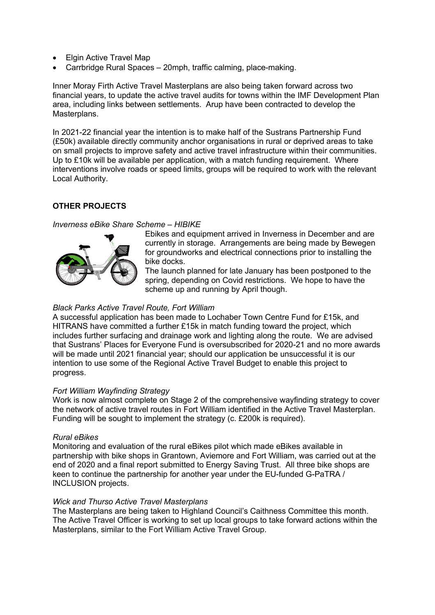- Elgin Active Travel Map
- Carrbridge Rural Spaces 20mph, traffic calming, place-making.

Inner Moray Firth Active Travel Masterplans are also being taken forward across two financial years, to update the active travel audits for towns within the IMF Development Plan area, including links between settlements. Arup have been contracted to develop the Masterplans.

In 2021-22 financial year the intention is to make half of the Sustrans Partnership Fund (£50k) available directly community anchor organisations in rural or deprived areas to take on small projects to improve safety and active travel infrastructure within their communities. Up to £10k will be available per application, with a match funding requirement. Where interventions involve roads or speed limits, groups will be required to work with the relevant Local Authority.

# **OTHER PROJECTS**

### *Inverness eBike Share Scheme – HIBIKE*



Ebikes and equipment arrived in Inverness in December and are currently in storage. Arrangements are being made by Bewegen for groundworks and electrical connections prior to installing the bike docks.

The launch planned for late January has been postponed to the spring, depending on Covid restrictions. We hope to have the scheme up and running by April though.

### *Black Parks Active Travel Route, Fort William*

A successful application has been made to Lochaber Town Centre Fund for £15k, and HITRANS have committed a further £15k in match funding toward the project, which includes further surfacing and drainage work and lighting along the route. We are advised that Sustrans' Places for Everyone Fund is oversubscribed for 2020-21 and no more awards will be made until 2021 financial year; should our application be unsuccessful it is our intention to use some of the Regional Active Travel Budget to enable this project to progress.

### *Fort William Wayfinding Strategy*

Work is now almost complete on Stage 2 of the comprehensive wayfinding strategy to cover the network of active travel routes in Fort William identified in the Active Travel Masterplan. Funding will be sought to implement the strategy (c. £200k is required).

### *Rural eBikes*

Monitoring and evaluation of the rural eBikes pilot which made eBikes available in partnership with bike shops in Grantown, Aviemore and Fort William, was carried out at the end of 2020 and a final report submitted to Energy Saving Trust. All three bike shops are keen to continue the partnership for another year under the EU-funded G-PaTRA / INCLUSION projects.

#### *Wick and Thurso Active Travel Masterplans*

The Masterplans are being taken to Highland Council's Caithness Committee this month. The Active Travel Officer is working to set up local groups to take forward actions within the Masterplans, similar to the Fort William Active Travel Group.